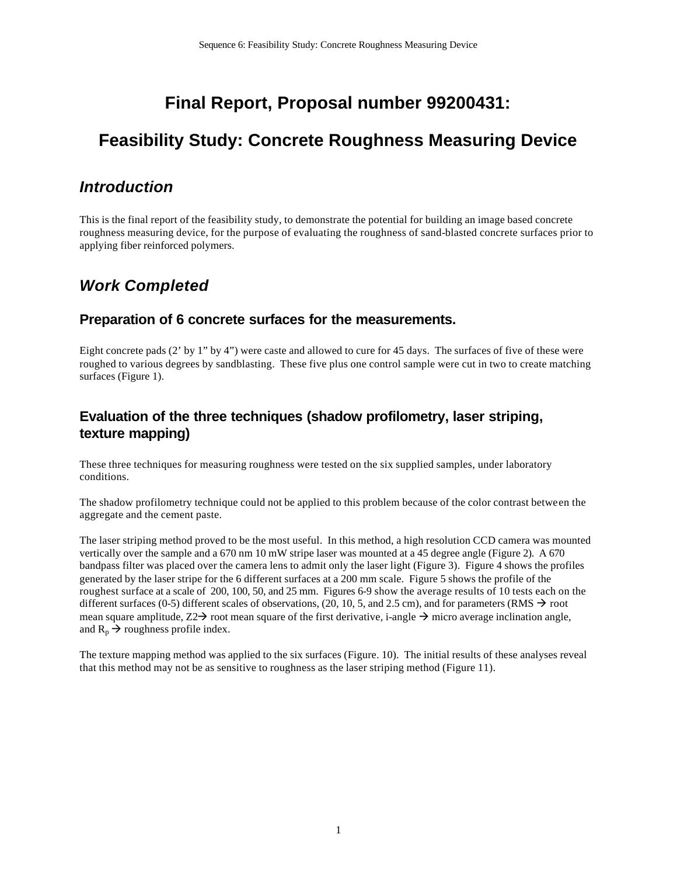## **Final Report, Proposal number 99200431:**

# **Feasibility Study: Concrete Roughness Measuring Device**

### *Introduction*

This is the final report of the feasibility study, to demonstrate the potential for building an image based concrete roughness measuring device, for the purpose of evaluating the roughness of sand-blasted concrete surfaces prior to applying fiber reinforced polymers.

## *Work Completed*

#### **Preparation of 6 concrete surfaces for the measurements.**

Eight concrete pads (2' by 1" by 4") were caste and allowed to cure for 45 days. The surfaces of five of these were roughed to various degrees by sandblasting. These five plus one control sample were cut in two to create matching surfaces (Figure 1).

### **Evaluation of the three techniques (shadow profilometry, laser striping, texture mapping)**

These three techniques for measuring roughness were tested on the six supplied samples, under laboratory conditions.

The shadow profilometry technique could not be applied to this problem because of the color contrast between the aggregate and the cement paste.

The laser striping method proved to be the most useful. In this method, a high resolution CCD camera was mounted vertically over the sample and a 670 nm 10 mW stripe laser was mounted at a 45 degree angle (Figure 2). A 670 bandpass filter was placed over the camera lens to admit only the laser light (Figure 3). Figure 4 shows the profiles generated by the laser stripe for the 6 different surfaces at a 200 mm scale. Figure 5 shows the profile of the roughest surface at a scale of 200, 100, 50, and 25 mm. Figures 6-9 show the average results of 10 tests each on the different surfaces (0-5) different scales of observations, (20, 10, 5, and 2.5 cm), and for parameters (RMS  $\rightarrow$  root mean square amplitude,  $Z2\rightarrow$  root mean square of the first derivative, i-angle  $\rightarrow$  micro average inclination angle, and  $R_p \rightarrow$  roughness profile index.

The texture mapping method was applied to the six surfaces (Figure. 10). The initial results of these analyses reveal that this method may not be as sensitive to roughness as the laser striping method (Figure 11).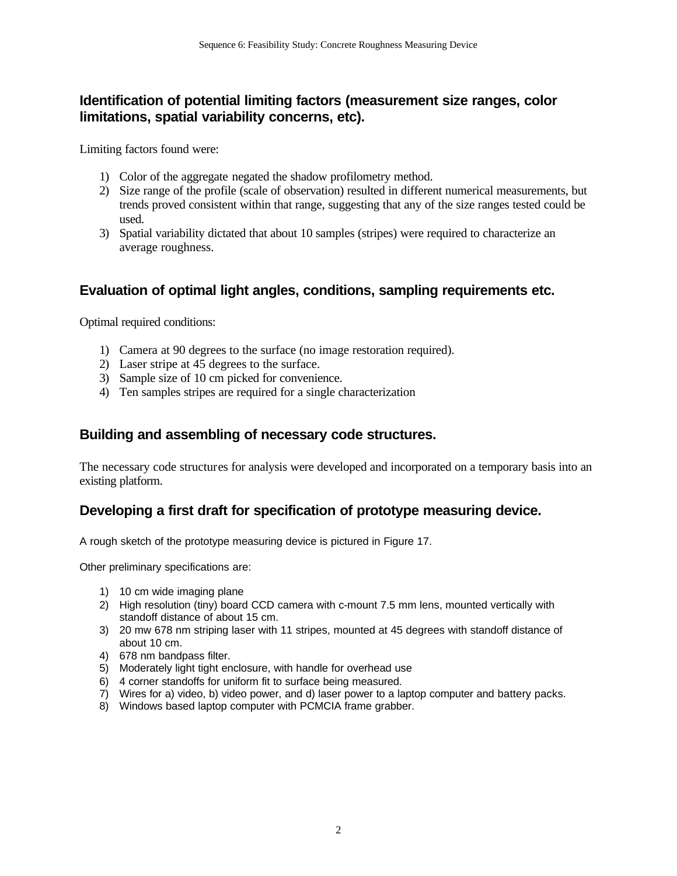### **Identification of potential limiting factors (measurement size ranges, color limitations, spatial variability concerns, etc).**

Limiting factors found were:

- 1) Color of the aggregate negated the shadow profilometry method.
- 2) Size range of the profile (scale of observation) resulted in different numerical measurements, but trends proved consistent within that range, suggesting that any of the size ranges tested could be used.
- 3) Spatial variability dictated that about 10 samples (stripes) were required to characterize an average roughness.

### **Evaluation of optimal light angles, conditions, sampling requirements etc.**

Optimal required conditions:

- 1) Camera at 90 degrees to the surface (no image restoration required).
- 2) Laser stripe at 45 degrees to the surface.
- 3) Sample size of 10 cm picked for convenience.
- 4) Ten samples stripes are required for a single characterization

### **Building and assembling of necessary code structures.**

The necessary code structures for analysis were developed and incorporated on a temporary basis into an existing platform.

### **Developing a first draft for specification of prototype measuring device.**

A rough sketch of the prototype measuring device is pictured in Figure 17.

Other preliminary specifications are:

- 1) 10 cm wide imaging plane
- 2) High resolution (tiny) board CCD camera with c-mount 7.5 mm lens, mounted vertically with standoff distance of about 15 cm.
- 3) 20 mw 678 nm striping laser with 11 stripes, mounted at 45 degrees with standoff distance of about 10 cm.
- 4) 678 nm bandpass filter.
- 5) Moderately light tight enclosure, with handle for overhead use
- 6) 4 corner standoffs for uniform fit to surface being measured.
- 7) Wires for a) video, b) video power, and d) laser power to a laptop computer and battery packs.
- 8) Windows based laptop computer with PCMCIA frame grabber.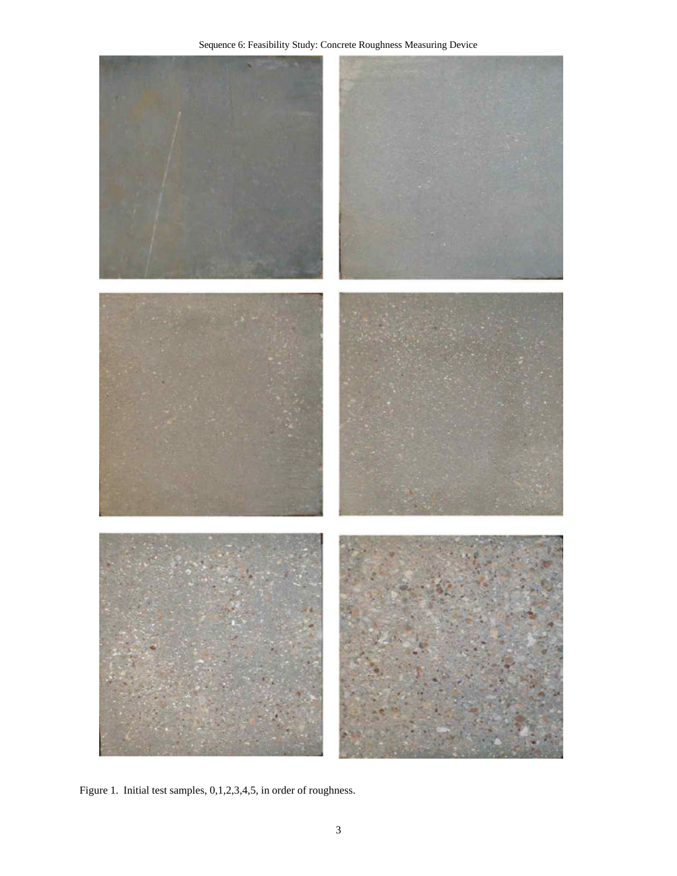

Figure 1. Initial test samples, 0,1,2,3,4,5, in order of roughness.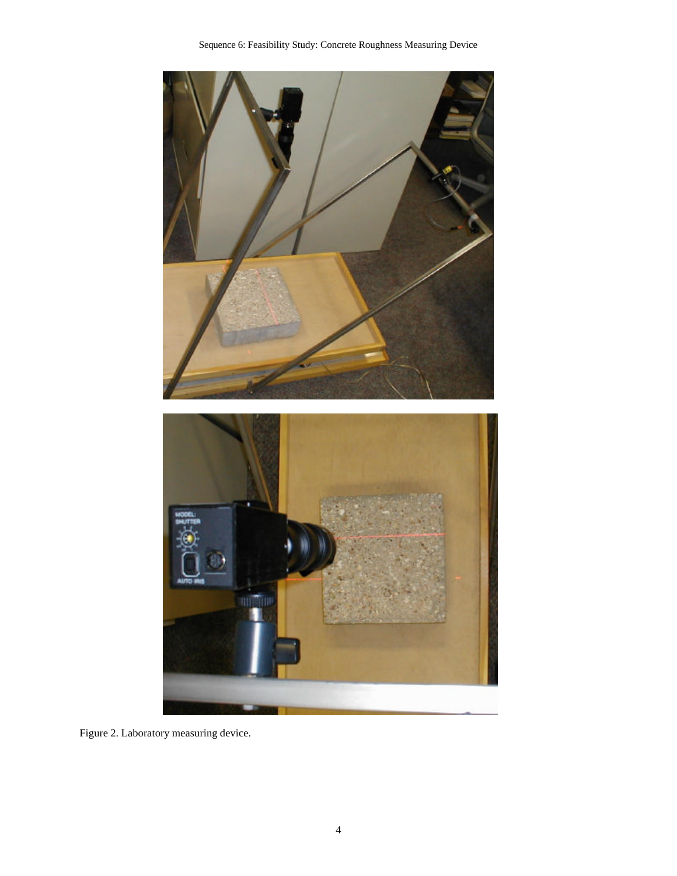

Figure 2. Laboratory measuring device.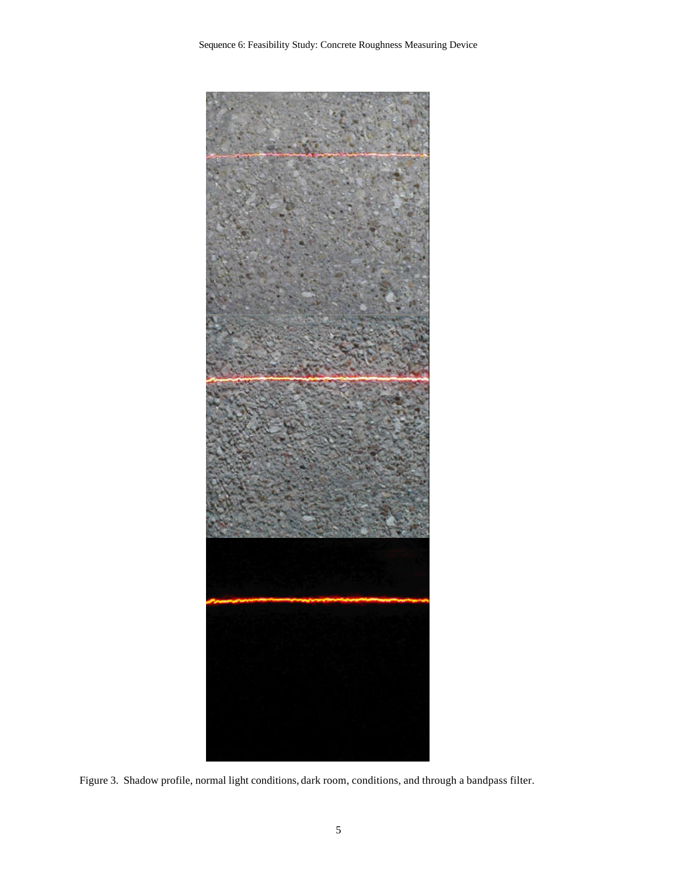

Figure 3. Shadow profile, normal light conditions, dark room, conditions, and through a bandpass filter.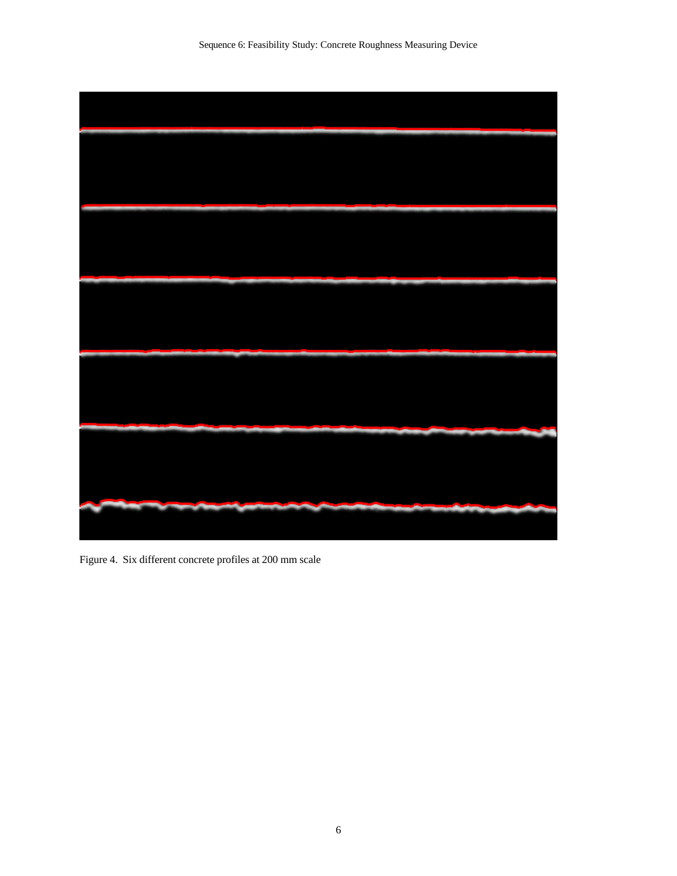

Figure 4. Six different concrete profiles at 200 mm scale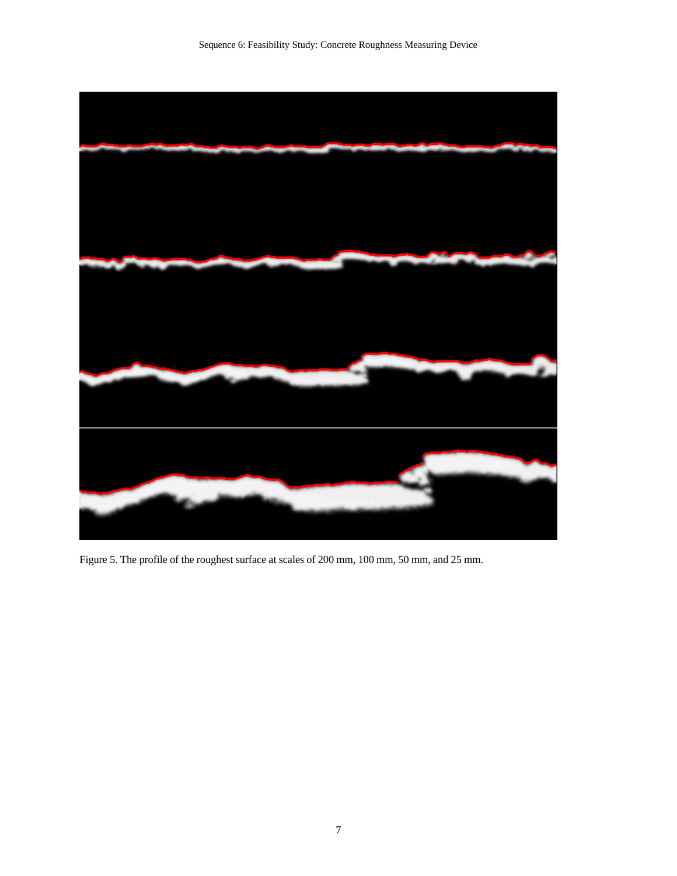

Figure 5. The profile of the roughest surface at scales of 200 mm, 100 mm, 50 mm, and 25 mm.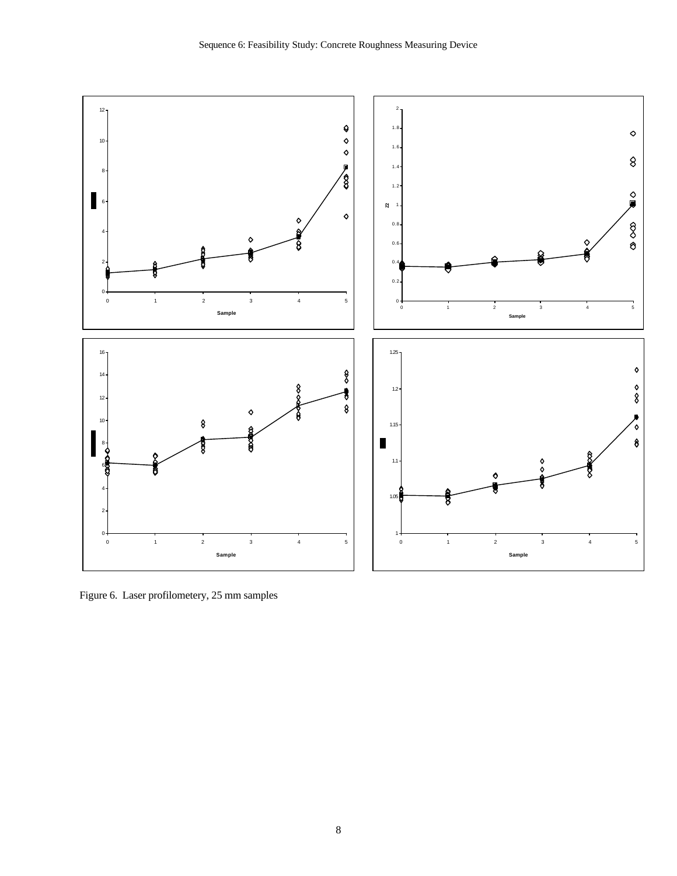

Figure 6. Laser profilometery, 25 mm samples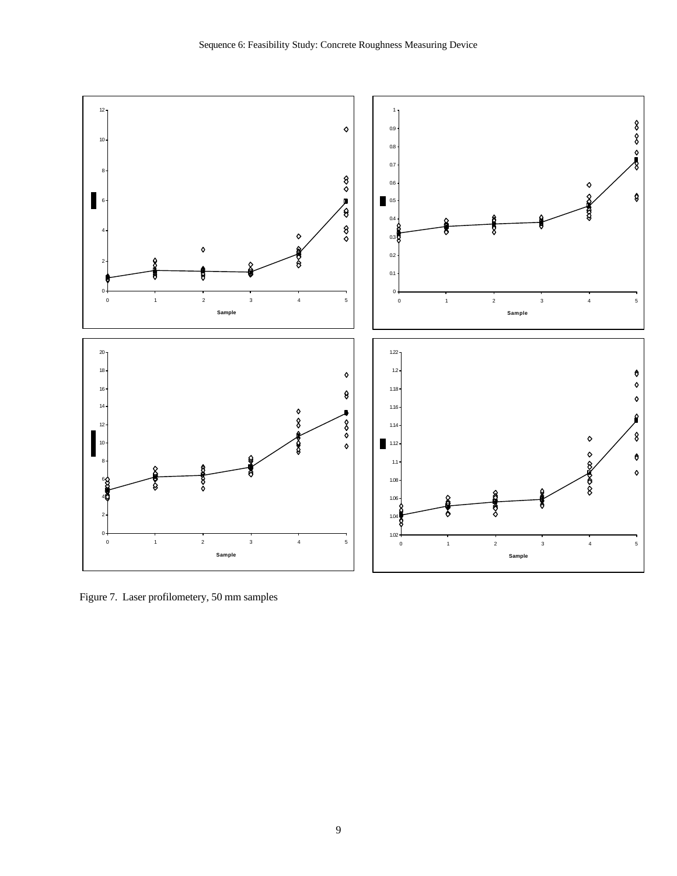

Figure 7. Laser profilometery, 50 mm samples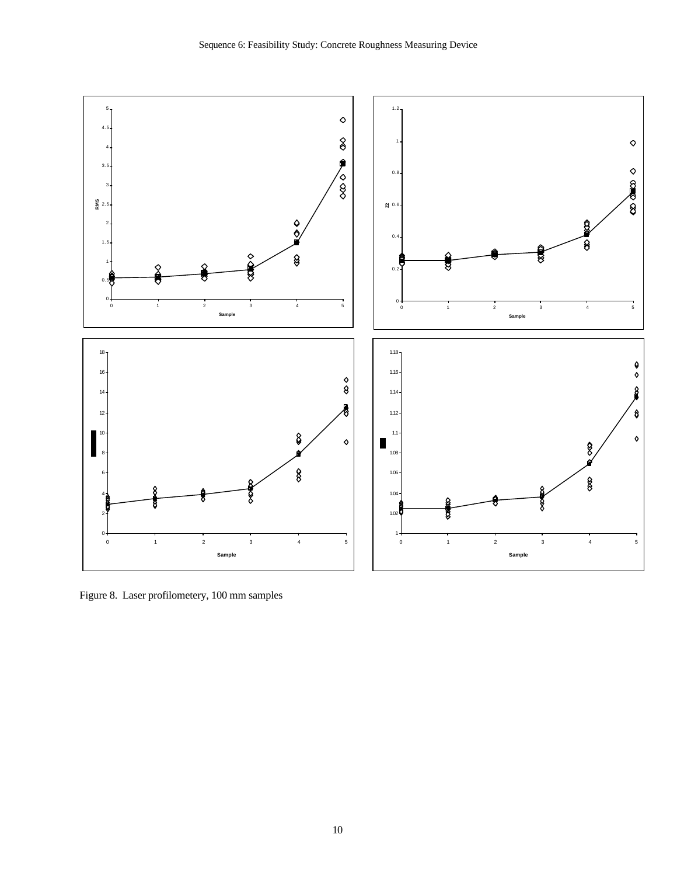

Figure 8. Laser profilometery, 100 mm samples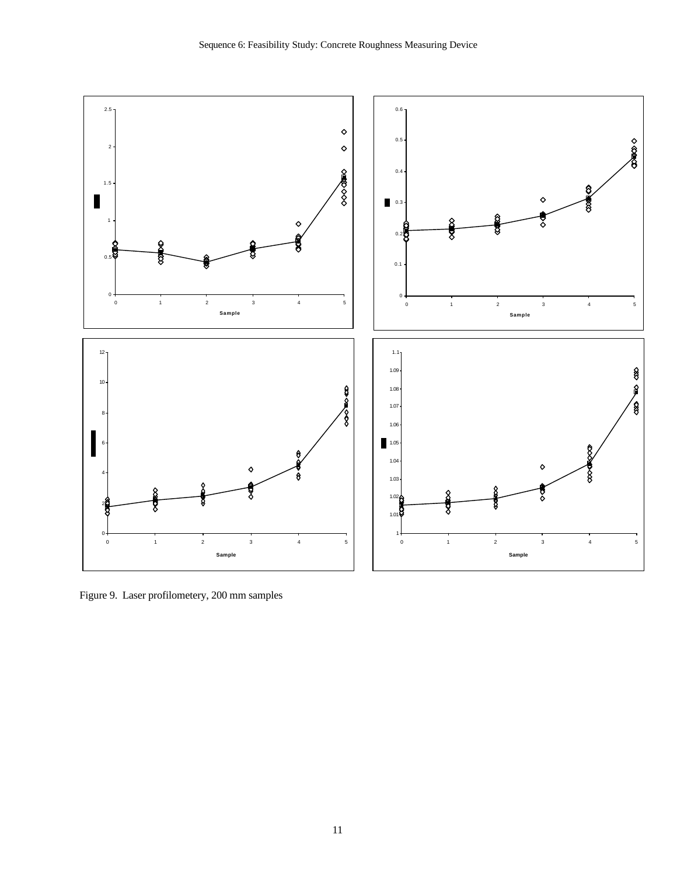

Figure 9. Laser profilometery, 200 mm samples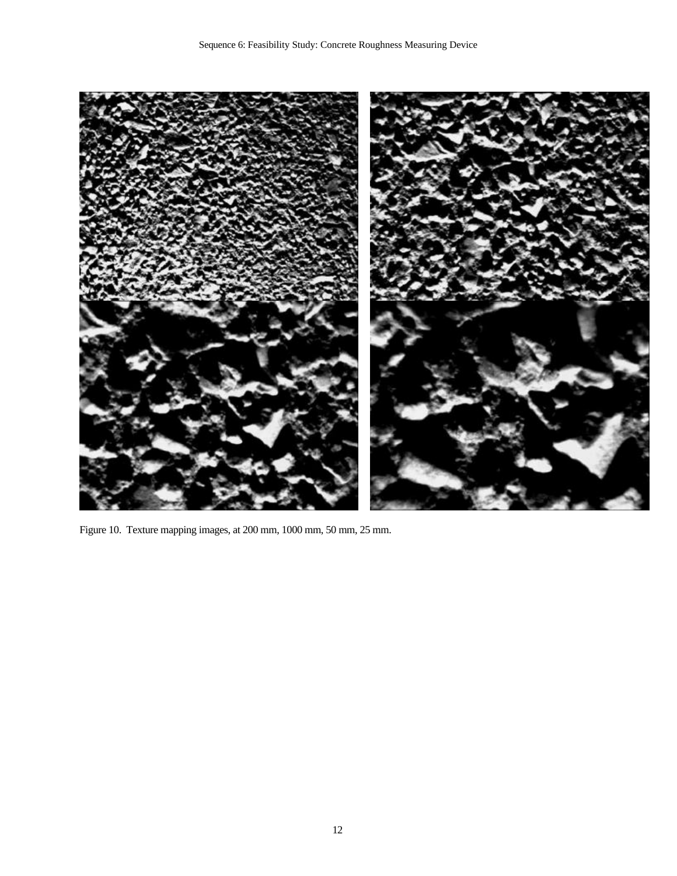

Figure 10. Texture mapping images, at 200 mm, 1000 mm, 50 mm, 25 mm.